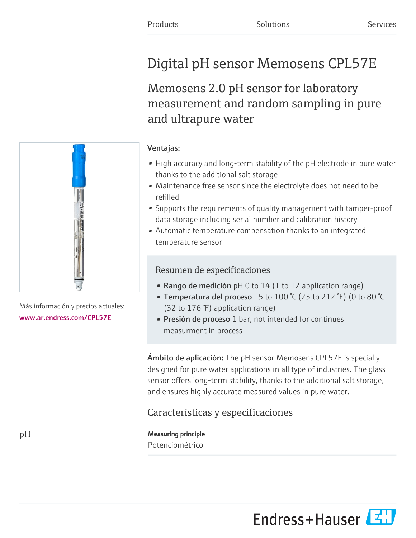# Digital pH sensor Memosens CPL57E

## Memosens 2.0 pH sensor for laboratory measurement and random sampling in pure and ultrapure water

## Ventajas: • High accuracy and long-term stability of the pH electrode in pure water

refilled

- thanks to the additional salt storage • Maintenance free sensor since the electrolyte does not need to be
- Supports the requirements of quality management with tamper-proof data storage including serial number and calibration history
- Automatic temperature compensation thanks to an integrated temperature sensor

### Resumen de especificaciones

- Rango de medición pH 0 to 14 (1 to 12 application range)
- Temperatura del proceso -5 to  $100\degree$ C (23 to 212 $\degree$ F) (0 to 80 $\degree$ C (32 to 176 °F) application range)
- Presión de proceso 1 bar, not intended for continues measurment in process

Ámbito de aplicación: The pH sensor Memosens CPL57E is specially designed for pure water applications in all type of industries. The glass sensor offers long-term stability, thanks to the additional salt storage, and ensures highly accurate measured values in pure water.

## Características y especificaciones

pH Measuring principle Potenciométrico



Más información y precios actuales: [www.ar.endress.com/CPL57E](https://www.ar.endress.com/CPL57E)

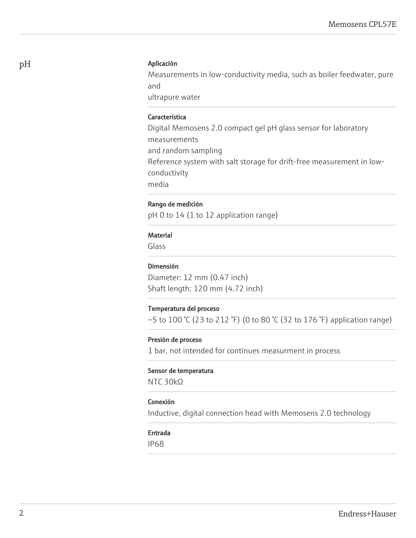#### pH Aplicación

Measurements in low-conductivity media, such as boiler feedwater, pure and

ultrapure water

#### Característica

Digital Memosens 2.0 compact gel pH glass sensor for laboratory measurements and random sampling Reference system with salt storage for drift-free measurement in lowconductivity media

#### Rango de medición

pH 0 to 14 (1 to 12 application range)

#### Material

Glass

#### Dimensión

Diameter: 12 mm (0.47 inch) Shaft length: 120 mm (4.72 inch)

#### Temperatura del proceso

 $-5$  to 100 °C (23 to 212 °F) (0 to 80 °C (32 to 176 °F) application range)

#### Presión de proceso

1 bar, not intended for continues measurment in process

#### Sensor de temperatura

NTC 30kΩ

#### Conexión

Inductive, digital connection head with Memosens 2.0 technology

#### Entrada

IP68